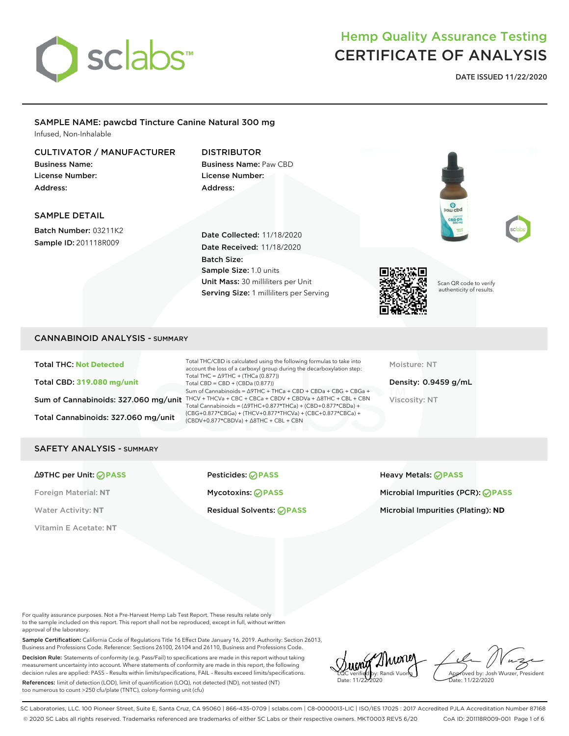

**DATE ISSUED 11/22/2020**

#### SAMPLE NAME: pawcbd Tincture Canine Natural 300 mg Infused, Non-Inhalable

## CULTIVATOR / MANUFACTURER

Business Name: License Number: Address:

## DISTRIBUTOR Business Name: Paw CBD License Number: Address:

## SAMPLE DETAIL

Batch Number: 03211K2 Sample ID: 201118R009

Date Collected: 11/18/2020 Date Received: 11/18/2020 Batch Size: Sample Size: 1.0 units Unit Mass: 30 milliliters per Unit Serving Size: 1 milliliters per Serving







Scan QR code to verify authenticity of results.

## CANNABINOID ANALYSIS - SUMMARY

Total THC: **Not Detected** Total CBD: **319.080 mg/unit** Total Cannabinoids: 327.060 mg/unit

Sum of Cannabinoids: 327.060 mg/unit THCV + THCVa + CBC + CBCa + CBDV + CBDVa +  $\triangle$ 8THC + CBL + CBN Total THC/CBD is calculated using the following formulas to take into account the loss of a carboxyl group during the decarboxylation step: Total THC = ∆9THC + (THCa (0.877)) Total CBD = CBD + (CBDa (0.877)) Sum of Cannabinoids = ∆9THC + THCa + CBD + CBDa + CBG + CBGa + Total Cannabinoids = (∆9THC+0.877\*THCa) + (CBD+0.877\*CBDa) + (CBG+0.877\*CBGa) + (THCV+0.877\*THCVa) + (CBC+0.877\*CBCa) + (CBDV+0.877\*CBDVa) + ∆8THC + CBL + CBN

Moisture: NT

Density: 0.9459 g/mL Viscosity: NT

#### SAFETY ANALYSIS - SUMMARY

Vitamin E Acetate: **NT**

∆9THC per Unit: **PASS** Pesticides: **PASS** Heavy Metals: **PASS** Foreign Material: **NT** Mycotoxins: **PASS** Microbial Impurities (PCR): **PASS**

Water Activity: NT **Residual Solvents: <b>PASS** Microbial Impurities (Plating): ND

For quality assurance purposes. Not a Pre-Harvest Hemp Lab Test Report. These results relate only to the sample included on this report. This report shall not be reproduced, except in full, without written approval of the laboratory.

Sample Certification: California Code of Regulations Title 16 Effect Date January 16, 2019. Authority: Section 26013, Business and Professions Code. Reference: Sections 26100, 26104 and 26110, Business and Professions Code.

Decision Rule: Statements of conformity (e.g. Pass/Fail) to specifications are made in this report without taking measurement uncertainty into account. Where statements of conformity are made in this report, the following decision rules are applied: PASS – Results within limits/specifications, FAIL – Results exceed limits/specifications.

References: limit of detection (LOD), limit of quantification (LOQ), not detected (ND), not tested (NT) too numerous to count >250 cfu/plate (TNTC), colony-forming unit (cfu)

Thune LQC verified by: Randi Vuong Date: 11/22/2020

Approved by: Josh Wurzer, President ate: 11/22/2020

SC Laboratories, LLC. 100 Pioneer Street, Suite E, Santa Cruz, CA 95060 | 866-435-0709 | sclabs.com | C8-0000013-LIC | ISO/IES 17025 : 2017 Accredited PJLA Accreditation Number 87168 © 2020 SC Labs all rights reserved. Trademarks referenced are trademarks of either SC Labs or their respective owners. MKT0003 REV5 6/20 CoA ID: 201118R009-001 Page 1 of 6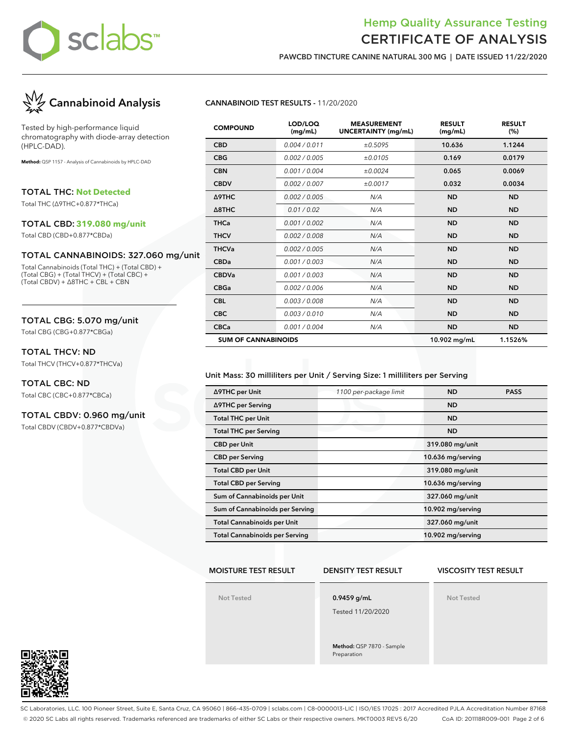

**PAWCBD TINCTURE CANINE NATURAL 300 MG | DATE ISSUED 11/22/2020**



Tested by high-performance liquid chromatography with diode-array detection (HPLC-DAD).

**Method:** QSP 1157 - Analysis of Cannabinoids by HPLC-DAD

TOTAL THC: **Not Detected**

Total THC (∆9THC+0.877\*THCa)

#### TOTAL CBD: **319.080 mg/unit**

Total CBD (CBD+0.877\*CBDa)

#### TOTAL CANNABINOIDS: 327.060 mg/unit

Total Cannabinoids (Total THC) + (Total CBD) + (Total CBG) + (Total THCV) + (Total CBC) + (Total CBDV) + ∆8THC + CBL + CBN

## TOTAL CBG: 5.070 mg/unit

Total CBG (CBG+0.877\*CBGa)

## TOTAL THCV: ND

Total THCV (THCV+0.877\*THCVa)

#### TOTAL CBC: ND

Total CBC (CBC+0.877\*CBCa)

#### TOTAL CBDV: 0.960 mg/unit

Total CBDV (CBDV+0.877\*CBDVa)

#### **CANNABINOID TEST RESULTS -** 11/20/2020

| <b>COMPOUND</b>            | LOD/LOQ<br>(mg/mL) | <b>MEASUREMENT</b><br><b>UNCERTAINTY (mg/mL)</b> | <b>RESULT</b><br>(mg/mL) | <b>RESULT</b><br>(%) |
|----------------------------|--------------------|--------------------------------------------------|--------------------------|----------------------|
| <b>CBD</b>                 | 0.004 / 0.011      | ±0.5095                                          | 10.636                   | 1.1244               |
| <b>CBG</b>                 | 0.002 / 0.005      | ±0.0105                                          | 0.169                    | 0.0179               |
| <b>CBN</b>                 | 0.001/0.004        | ±0.0024                                          | 0.065                    | 0.0069               |
| <b>CBDV</b>                | 0.002 / 0.007      | ±0.0017                                          | 0.032                    | 0.0034               |
| Δ9THC                      | 0.002 / 0.005      | N/A                                              | <b>ND</b>                | <b>ND</b>            |
| $\triangle$ 8THC           | 0.01 / 0.02        | N/A                                              | <b>ND</b>                | <b>ND</b>            |
| <b>THCa</b>                | 0.001 / 0.002      | N/A                                              | <b>ND</b>                | <b>ND</b>            |
| <b>THCV</b>                | 0.002 / 0.008      | N/A                                              | <b>ND</b>                | <b>ND</b>            |
| <b>THCVa</b>               | 0.002 / 0.005      | N/A                                              | <b>ND</b>                | <b>ND</b>            |
| <b>CBDa</b>                | 0.001 / 0.003      | N/A                                              | <b>ND</b>                | <b>ND</b>            |
| <b>CBDVa</b>               | 0.001 / 0.003      | N/A                                              | <b>ND</b>                | <b>ND</b>            |
| <b>CBGa</b>                | 0.002 / 0.006      | N/A                                              | <b>ND</b>                | <b>ND</b>            |
| <b>CBL</b>                 | 0.003 / 0.008      | N/A                                              | <b>ND</b>                | <b>ND</b>            |
| <b>CBC</b>                 | 0.003 / 0.010      | N/A                                              | <b>ND</b>                | <b>ND</b>            |
| <b>CBCa</b>                | 0.001 / 0.004      | N/A                                              | <b>ND</b>                | <b>ND</b>            |
| <b>SUM OF CANNABINOIDS</b> |                    |                                                  | 10.902 mg/mL             | 1.1526%              |

#### Unit Mass: 30 milliliters per Unit / Serving Size: 1 milliliters per Serving

| ∆9THC per Unit                        | 1100 per-package limit | <b>ND</b>         | <b>PASS</b> |
|---------------------------------------|------------------------|-------------------|-------------|
| ∆9THC per Serving                     |                        | <b>ND</b>         |             |
| <b>Total THC per Unit</b>             |                        | <b>ND</b>         |             |
| <b>Total THC per Serving</b>          |                        | <b>ND</b>         |             |
| <b>CBD</b> per Unit                   |                        | 319.080 mg/unit   |             |
| <b>CBD per Serving</b>                |                        | 10.636 mg/serving |             |
| <b>Total CBD per Unit</b>             |                        | 319.080 mg/unit   |             |
| <b>Total CBD per Serving</b>          |                        | 10.636 mg/serving |             |
| Sum of Cannabinoids per Unit          |                        | 327.060 mg/unit   |             |
| Sum of Cannabinoids per Serving       |                        | 10.902 mg/serving |             |
| <b>Total Cannabinoids per Unit</b>    |                        | 327.060 mg/unit   |             |
| <b>Total Cannabinoids per Serving</b> |                        | 10.902 mg/serving |             |

#### **MOISTURE TEST RESULT**

#### **DENSITY TEST RESULT**

# **VISCOSITY TEST RESULT**

**Not Tested**

**0.9459 g/mL**

Tested 11/20/2020

**Method:** QSP 7870 - Sample Preparation

**Not Tested**



SC Laboratories, LLC. 100 Pioneer Street, Suite E, Santa Cruz, CA 95060 | 866-435-0709 | sclabs.com | C8-0000013-LIC | ISO/IES 17025 : 2017 Accredited PJLA Accreditation Number 87168 © 2020 SC Labs all rights reserved. Trademarks referenced are trademarks of either SC Labs or their respective owners. MKT0003 REV5 6/20 CoA ID: 201118R009-001 Page 2 of 6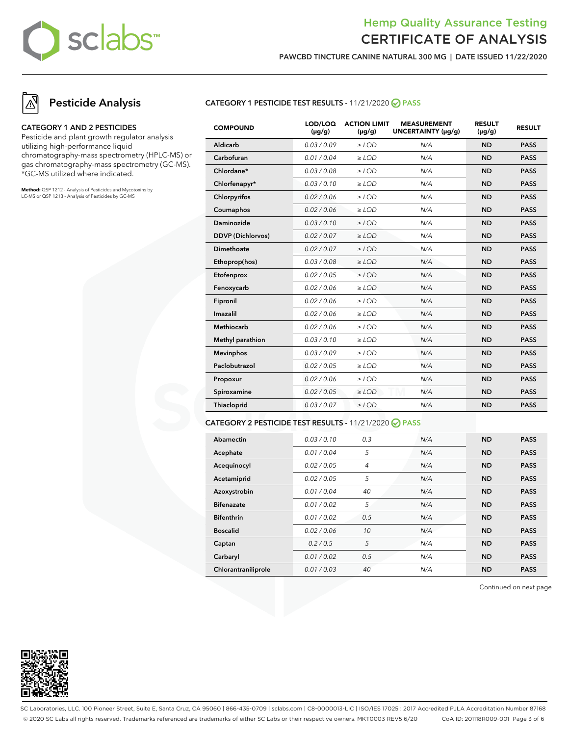

**PAWCBD TINCTURE CANINE NATURAL 300 MG | DATE ISSUED 11/22/2020**

# **Pesticide Analysis**

#### **CATEGORY 1 AND 2 PESTICIDES**

Pesticide and plant growth regulator analysis utilizing high-performance liquid chromatography-mass spectrometry (HPLC-MS) or gas chromatography-mass spectrometry (GC-MS). \*GC-MS utilized where indicated.

**Method:** QSP 1212 - Analysis of Pesticides and Mycotoxins by LC-MS or QSP 1213 - Analysis of Pesticides by GC-MS

#### **CATEGORY 1 PESTICIDE TEST RESULTS -** 11/21/2020 **PASS**

| <b>COMPOUND</b>          | LOD/LOQ<br>$(\mu g/g)$ | <b>ACTION LIMIT</b><br>$(\mu q/q)$ | <b>MEASUREMENT</b><br>UNCERTAINTY (µg/g) | <b>RESULT</b><br>$(\mu g/g)$ | <b>RESULT</b> |
|--------------------------|------------------------|------------------------------------|------------------------------------------|------------------------------|---------------|
| Aldicarb                 | 0.03/0.09              | $>$ LOD                            | N/A                                      | <b>ND</b>                    | <b>PASS</b>   |
| Carbofuran               | 0.01 / 0.04            | $\ge$ LOD                          | N/A                                      | <b>ND</b>                    | <b>PASS</b>   |
| Chlordane*               | 0.03 / 0.08            | $\ge$ LOD                          | N/A                                      | <b>ND</b>                    | <b>PASS</b>   |
| Chlorfenapyr*            | 0.03/0.10              | $\ge$ LOD                          | N/A                                      | <b>ND</b>                    | <b>PASS</b>   |
| Chlorpyrifos             | 0.02 / 0.06            | $\ge$ LOD                          | N/A                                      | <b>ND</b>                    | <b>PASS</b>   |
| Coumaphos                | 0.02 / 0.06            | $\ge$ LOD                          | N/A                                      | <b>ND</b>                    | <b>PASS</b>   |
| Daminozide               | 0.03/0.10              | $\ge$ LOD                          | N/A                                      | <b>ND</b>                    | <b>PASS</b>   |
| <b>DDVP</b> (Dichlorvos) | 0.02 / 0.07            | $\ge$ LOD                          | N/A                                      | <b>ND</b>                    | <b>PASS</b>   |
| Dimethoate               | 0.02 / 0.07            | $>$ LOD                            | N/A                                      | <b>ND</b>                    | <b>PASS</b>   |
| Ethoprop(hos)            | 0.03 / 0.08            | $\ge$ LOD                          | N/A                                      | <b>ND</b>                    | <b>PASS</b>   |
| Etofenprox               | 0.02 / 0.05            | $\ge$ LOD                          | N/A                                      | <b>ND</b>                    | <b>PASS</b>   |
| Fenoxycarb               | 0.02 / 0.06            | $\ge$ LOD                          | N/A                                      | <b>ND</b>                    | <b>PASS</b>   |
| Fipronil                 | 0.02 / 0.06            | $\ge$ LOD                          | N/A                                      | <b>ND</b>                    | <b>PASS</b>   |
| Imazalil                 | 0.02 / 0.06            | $>$ LOD                            | N/A                                      | <b>ND</b>                    | <b>PASS</b>   |
| <b>Methiocarb</b>        | 0.02 / 0.06            | $>$ LOD                            | N/A                                      | <b>ND</b>                    | <b>PASS</b>   |
| Methyl parathion         | 0.03/0.10              | $\ge$ LOD                          | N/A                                      | <b>ND</b>                    | <b>PASS</b>   |
| <b>Mevinphos</b>         | 0.03/0.09              | $\ge$ LOD                          | N/A                                      | <b>ND</b>                    | <b>PASS</b>   |
| Paclobutrazol            | 0.02 / 0.05            | $\ge$ LOD                          | N/A                                      | <b>ND</b>                    | <b>PASS</b>   |
| Propoxur                 | 0.02 / 0.06            | $\ge$ LOD                          | N/A                                      | <b>ND</b>                    | <b>PASS</b>   |
| Spiroxamine              | 0.02 / 0.05            | $\ge$ LOD                          | N/A                                      | <b>ND</b>                    | <b>PASS</b>   |
| Thiacloprid              | 0.03 / 0.07            | $\ge$ LOD                          | N/A                                      | <b>ND</b>                    | <b>PASS</b>   |

#### **CATEGORY 2 PESTICIDE TEST RESULTS -** 11/21/2020 **PASS**

| Abamectin           | 0.03/0.10   | 0.3 | N/A | <b>ND</b> | <b>PASS</b> |
|---------------------|-------------|-----|-----|-----------|-------------|
| Acephate            | 0.01 / 0.04 | 5   | N/A | <b>ND</b> | <b>PASS</b> |
| Acequinocyl         | 0.02 / 0.05 | 4   | N/A | <b>ND</b> | <b>PASS</b> |
| Acetamiprid         | 0.02 / 0.05 | 5   | N/A | <b>ND</b> | <b>PASS</b> |
| Azoxystrobin        | 0.01/0.04   | 40  | N/A | <b>ND</b> | <b>PASS</b> |
| <b>Bifenazate</b>   | 0.01 / 0.02 | 5   | N/A | <b>ND</b> | <b>PASS</b> |
| <b>Bifenthrin</b>   | 0.01/0.02   | 0.5 | N/A | <b>ND</b> | <b>PASS</b> |
| <b>Boscalid</b>     | 0.02 / 0.06 | 10  | N/A | <b>ND</b> | <b>PASS</b> |
| Captan              | 0.2/0.5     | 5   | N/A | <b>ND</b> | <b>PASS</b> |
| Carbaryl            | 0.01 / 0.02 | 0.5 | N/A | <b>ND</b> | <b>PASS</b> |
| Chlorantraniliprole | 0.01 / 0.03 | 40  | N/A | <b>ND</b> | <b>PASS</b> |

Continued on next page



SC Laboratories, LLC. 100 Pioneer Street, Suite E, Santa Cruz, CA 95060 | 866-435-0709 | sclabs.com | C8-0000013-LIC | ISO/IES 17025 : 2017 Accredited PJLA Accreditation Number 87168 © 2020 SC Labs all rights reserved. Trademarks referenced are trademarks of either SC Labs or their respective owners. MKT0003 REV5 6/20 CoA ID: 201118R009-001 Page 3 of 6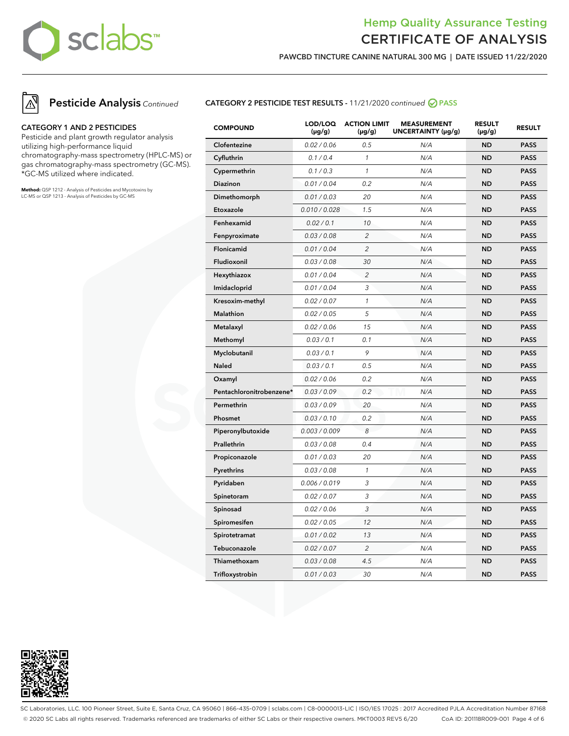

**PAWCBD TINCTURE CANINE NATURAL 300 MG | DATE ISSUED 11/22/2020**



#### **CATEGORY 1 AND 2 PESTICIDES**

Pesticide and plant growth regulator analysis utilizing high-performance liquid chromatography-mass spectrometry (HPLC-MS) or gas chromatography-mass spectrometry (GC-MS). \*GC-MS utilized where indicated.

**Method:** QSP 1212 - Analysis of Pesticides and Mycotoxins by LC-MS or QSP 1213 - Analysis of Pesticides by GC-MS

#### **CATEGORY 2 PESTICIDE TEST RESULTS -** 11/21/2020 continued **PASS**

| <b>COMPOUND</b>          | LOD/LOQ<br>$(\mu g/g)$ | <b>ACTION LIMIT</b><br>$(\mu g/g)$ | <b>MEASUREMENT</b><br>UNCERTAINTY (µg/g) | <b>RESULT</b><br>$(\mu g/g)$ | <b>RESULT</b> |
|--------------------------|------------------------|------------------------------------|------------------------------------------|------------------------------|---------------|
| Clofentezine             | 0.02 / 0.06            | 0.5                                | N/A                                      | <b>ND</b>                    | <b>PASS</b>   |
| Cyfluthrin               | 0.1 / 0.4              | $\mathcal{I}$                      | N/A                                      | <b>ND</b>                    | <b>PASS</b>   |
| Cypermethrin             | 0.1 / 0.3              | $\mathcal{I}$                      | N/A                                      | <b>ND</b>                    | <b>PASS</b>   |
| Diazinon                 | 0.01 / 0.04            | 0.2                                | N/A                                      | <b>ND</b>                    | <b>PASS</b>   |
| Dimethomorph             | 0.01 / 0.03            | 20                                 | N/A                                      | <b>ND</b>                    | <b>PASS</b>   |
| Etoxazole                | 0.010 / 0.028          | 1.5                                | N/A                                      | <b>ND</b>                    | <b>PASS</b>   |
| Fenhexamid               | 0.02 / 0.1             | 10                                 | N/A                                      | <b>ND</b>                    | <b>PASS</b>   |
| Fenpyroximate            | 0.03 / 0.08            | $\overline{2}$                     | N/A                                      | <b>ND</b>                    | <b>PASS</b>   |
| Flonicamid               | 0.01 / 0.04            | $\overline{c}$                     | N/A                                      | <b>ND</b>                    | <b>PASS</b>   |
| Fludioxonil              | 0.03 / 0.08            | 30                                 | N/A                                      | <b>ND</b>                    | <b>PASS</b>   |
| Hexythiazox              | 0.01 / 0.04            | $\overline{c}$                     | N/A                                      | <b>ND</b>                    | <b>PASS</b>   |
| Imidacloprid             | 0.01 / 0.04            | 3                                  | N/A                                      | <b>ND</b>                    | <b>PASS</b>   |
| Kresoxim-methyl          | 0.02 / 0.07            | $\mathcal{I}$                      | N/A                                      | <b>ND</b>                    | <b>PASS</b>   |
| <b>Malathion</b>         | 0.02 / 0.05            | 5                                  | N/A                                      | <b>ND</b>                    | <b>PASS</b>   |
| Metalaxyl                | 0.02 / 0.06            | 15                                 | N/A                                      | <b>ND</b>                    | <b>PASS</b>   |
| Methomyl                 | 0.03/0.1               | 0.1                                | N/A                                      | <b>ND</b>                    | <b>PASS</b>   |
| Myclobutanil             | 0.03 / 0.1             | 9                                  | N/A                                      | <b>ND</b>                    | <b>PASS</b>   |
| <b>Naled</b>             | 0.03 / 0.1             | 0.5                                | N/A                                      | <b>ND</b>                    | <b>PASS</b>   |
| Oxamyl                   | 0.02 / 0.06            | 0.2                                | N/A                                      | <b>ND</b>                    | <b>PASS</b>   |
| Pentachloronitrobenzene* | 0.03 / 0.09            | 0.2                                | N/A                                      | <b>ND</b>                    | <b>PASS</b>   |
| Permethrin               | 0.03 / 0.09            | 20                                 | N/A                                      | <b>ND</b>                    | <b>PASS</b>   |
| Phosmet                  | 0.03 / 0.10            | 0.2                                | N/A                                      | <b>ND</b>                    | <b>PASS</b>   |
| Piperonylbutoxide        | 0.003 / 0.009          | 8                                  | N/A                                      | <b>ND</b>                    | <b>PASS</b>   |
| Prallethrin              | 0.03 / 0.08            | 0.4                                | N/A                                      | <b>ND</b>                    | <b>PASS</b>   |
| Propiconazole            | 0.01 / 0.03            | 20                                 | N/A                                      | <b>ND</b>                    | <b>PASS</b>   |
| Pyrethrins               | 0.03 / 0.08            | $\mathcal{I}$                      | N/A                                      | <b>ND</b>                    | <b>PASS</b>   |
| Pyridaben                | 0.006 / 0.019          | 3                                  | N/A                                      | <b>ND</b>                    | <b>PASS</b>   |
| Spinetoram               | 0.02 / 0.07            | 3                                  | N/A                                      | <b>ND</b>                    | <b>PASS</b>   |
| Spinosad                 | 0.02 / 0.06            | 3                                  | N/A                                      | <b>ND</b>                    | <b>PASS</b>   |
| Spiromesifen             | 0.02 / 0.05            | 12                                 | N/A                                      | <b>ND</b>                    | <b>PASS</b>   |
| Spirotetramat            | 0.01 / 0.02            | 13                                 | N/A                                      | <b>ND</b>                    | <b>PASS</b>   |
| Tebuconazole             | 0.02 / 0.07            | $\overline{c}$                     | N/A                                      | <b>ND</b>                    | <b>PASS</b>   |
| Thiamethoxam             | 0.03 / 0.08            | 4.5                                | N/A                                      | <b>ND</b>                    | <b>PASS</b>   |
| Trifloxystrobin          | 0.01 / 0.03            | 30                                 | N/A                                      | <b>ND</b>                    | <b>PASS</b>   |



SC Laboratories, LLC. 100 Pioneer Street, Suite E, Santa Cruz, CA 95060 | 866-435-0709 | sclabs.com | C8-0000013-LIC | ISO/IES 17025 : 2017 Accredited PJLA Accreditation Number 87168 © 2020 SC Labs all rights reserved. Trademarks referenced are trademarks of either SC Labs or their respective owners. MKT0003 REV5 6/20 CoA ID: 201118R009-001 Page 4 of 6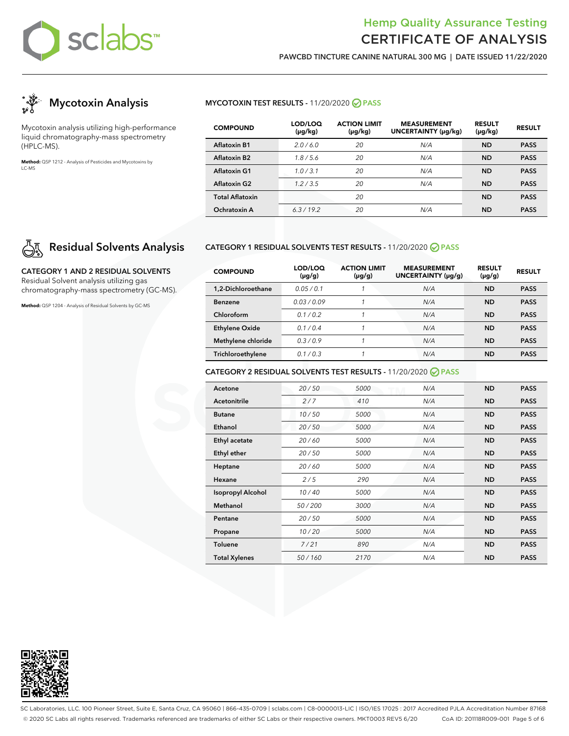

**PAWCBD TINCTURE CANINE NATURAL 300 MG | DATE ISSUED 11/22/2020**



Mycotoxin analysis utilizing high-performance liquid chromatography-mass spectrometry (HPLC-MS).

**Method:** QSP 1212 - Analysis of Pesticides and Mycotoxins by LC-MS

# **Residual Solvents Analysis**

**CATEGORY 1 AND 2 RESIDUAL SOLVENTS** Residual Solvent analysis utilizing gas chromatography-mass spectrometry (GC-MS).

**Method:** QSP 1204 - Analysis of Residual Solvents by GC-MS

## **MYCOTOXIN TEST RESULTS -** 11/20/2020 **PASS**

| <b>COMPOUND</b>        | LOD/LOQ<br>$(\mu g/kg)$ | <b>ACTION LIMIT</b><br>$(\mu g/kg)$ | <b>MEASUREMENT</b><br>UNCERTAINTY (µg/kg) | <b>RESULT</b><br>$(\mu g/kg)$ | <b>RESULT</b> |
|------------------------|-------------------------|-------------------------------------|-------------------------------------------|-------------------------------|---------------|
| <b>Aflatoxin B1</b>    | 2.0/6.0                 | 20                                  | N/A                                       | ND                            | <b>PASS</b>   |
| Aflatoxin B2           | 1.8/5.6                 | 20                                  | N/A                                       | <b>ND</b>                     | <b>PASS</b>   |
| <b>Aflatoxin G1</b>    | 1.0/3.1                 | 20                                  | N/A                                       | <b>ND</b>                     | <b>PASS</b>   |
| <b>Aflatoxin G2</b>    | 1.2/3.5                 | 20                                  | N/A                                       | <b>ND</b>                     | <b>PASS</b>   |
| <b>Total Aflatoxin</b> |                         | 20                                  |                                           | <b>ND</b>                     | <b>PASS</b>   |
| Ochratoxin A           | 6.3/19.2                | 20                                  | N/A                                       | ND                            | <b>PASS</b>   |

#### **CATEGORY 1 RESIDUAL SOLVENTS TEST RESULTS -** 11/20/2020 **PASS**

| <b>COMPOUND</b>       | LOD/LOQ<br>$(\mu g/g)$ | <b>ACTION LIMIT</b><br>$(\mu g/g)$ | <b>MEASUREMENT</b><br>UNCERTAINTY (µq/q) | <b>RESULT</b><br>$(\mu g/g)$ | <b>RESULT</b> |
|-----------------------|------------------------|------------------------------------|------------------------------------------|------------------------------|---------------|
| 1.2-Dichloroethane    | 0.05/0.1               |                                    | N/A                                      | <b>ND</b>                    | <b>PASS</b>   |
| <b>Benzene</b>        | 0.03/0.09              |                                    | N/A                                      | <b>ND</b>                    | <b>PASS</b>   |
| Chloroform            | 01/02                  |                                    | N/A                                      | <b>ND</b>                    | <b>PASS</b>   |
| <b>Ethylene Oxide</b> | 0.1/0.4                |                                    | N/A                                      | <b>ND</b>                    | <b>PASS</b>   |
| Methylene chloride    | 0.3/0.9                |                                    | N/A                                      | <b>ND</b>                    | <b>PASS</b>   |
| Trichloroethylene     | 0.1/0.3                |                                    | N/A                                      | <b>ND</b>                    | <b>PASS</b>   |

## **CATEGORY 2 RESIDUAL SOLVENTS TEST RESULTS -** 11/20/2020 **PASS**

| Acetone                  | 20/50  | 5000 | N/A | <b>ND</b> | <b>PASS</b> |
|--------------------------|--------|------|-----|-----------|-------------|
| <b>Acetonitrile</b>      | 2/7    | 410  | N/A | <b>ND</b> | <b>PASS</b> |
| <b>Butane</b>            | 10/50  | 5000 | N/A | <b>ND</b> | <b>PASS</b> |
| Ethanol                  | 20/50  | 5000 | N/A | <b>ND</b> | <b>PASS</b> |
| Ethyl acetate            | 20/60  | 5000 | N/A | <b>ND</b> | <b>PASS</b> |
| Ethyl ether              | 20/50  | 5000 | N/A | <b>ND</b> | <b>PASS</b> |
| Heptane                  | 20/60  | 5000 | N/A | <b>ND</b> | <b>PASS</b> |
| Hexane                   | 2/5    | 290  | N/A | <b>ND</b> | <b>PASS</b> |
| <b>Isopropyl Alcohol</b> | 10/40  | 5000 | N/A | <b>ND</b> | <b>PASS</b> |
| Methanol                 | 50/200 | 3000 | N/A | <b>ND</b> | <b>PASS</b> |
| Pentane                  | 20/50  | 5000 | N/A | <b>ND</b> | <b>PASS</b> |
| Propane                  | 10/20  | 5000 | N/A | <b>ND</b> | <b>PASS</b> |
| <b>Toluene</b>           | 7/21   | 890  | N/A | <b>ND</b> | <b>PASS</b> |
| <b>Total Xylenes</b>     | 50/160 | 2170 | N/A | <b>ND</b> | <b>PASS</b> |



SC Laboratories, LLC. 100 Pioneer Street, Suite E, Santa Cruz, CA 95060 | 866-435-0709 | sclabs.com | C8-0000013-LIC | ISO/IES 17025 : 2017 Accredited PJLA Accreditation Number 87168 © 2020 SC Labs all rights reserved. Trademarks referenced are trademarks of either SC Labs or their respective owners. MKT0003 REV5 6/20 CoA ID: 201118R009-001 Page 5 of 6